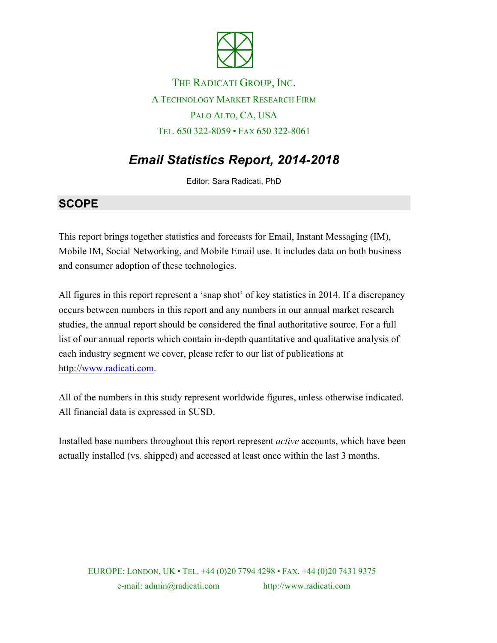

THE RADICATI GROUP, INC. A TECHNOLOGY MARKET RESEARCH FIRM PALO ALTO, CA, USA TEL. 650 322-8059 • FAX 650 322-8061

# *Email Statistics Report, 2014-2018*

Editor: Sara Radicati, PhD

### **SCOPE**

This report brings together statistics and forecasts for Email, Instant Messaging (IM), Mobile IM, Social Networking, and Mobile Email use. It includes data on both business and consumer adoption of these technologies.

All figures in this report represent a 'snap shot' of key statistics in 2014. If a discrepancy occurs between numbers in this report and any numbers in our annual market research studies, the annual report should be considered the final authoritative source. For a full list of our annual reports which contain in-depth quantitative and qualitative analysis of each industry segment we cover, please refer to our list of publications at http://www.radicati.com.

All of the numbers in this study represent worldwide figures, unless otherwise indicated. All financial data is expressed in \$USD.

Installed base numbers throughout this report represent *active* accounts, which have been actually installed (vs. shipped) and accessed at least once within the last 3 months.

EUROPE: LONDON, UK • TEL. +44 (0)20 7794 4298 • FAX. +44 (0)20 7431 9375 e-mail: admin@radicati.com http://www.radicati.com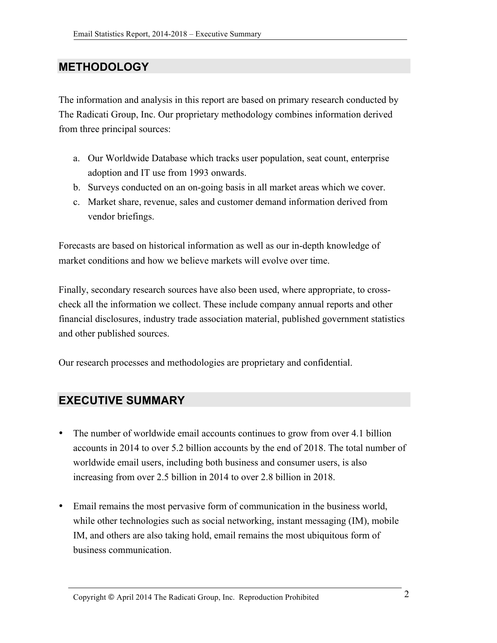## **METHODOLOGY**

The information and analysis in this report are based on primary research conducted by The Radicati Group, Inc. Our proprietary methodology combines information derived from three principal sources:

- a. Our Worldwide Database which tracks user population, seat count, enterprise adoption and IT use from 1993 onwards.
- b. Surveys conducted on an on-going basis in all market areas which we cover.
- c. Market share, revenue, sales and customer demand information derived from vendor briefings.

Forecasts are based on historical information as well as our in-depth knowledge of market conditions and how we believe markets will evolve over time.

Finally, secondary research sources have also been used, where appropriate, to crosscheck all the information we collect. These include company annual reports and other financial disclosures, industry trade association material, published government statistics and other published sources.

Our research processes and methodologies are proprietary and confidential.

### **EXECUTIVE SUMMARY**

- The number of worldwide email accounts continues to grow from over 4.1 billion accounts in 2014 to over 5.2 billion accounts by the end of 2018. The total number of worldwide email users, including both business and consumer users, is also increasing from over 2.5 billion in 2014 to over 2.8 billion in 2018.
- Email remains the most pervasive form of communication in the business world, while other technologies such as social networking, instant messaging (IM), mobile IM, and others are also taking hold, email remains the most ubiquitous form of business communication.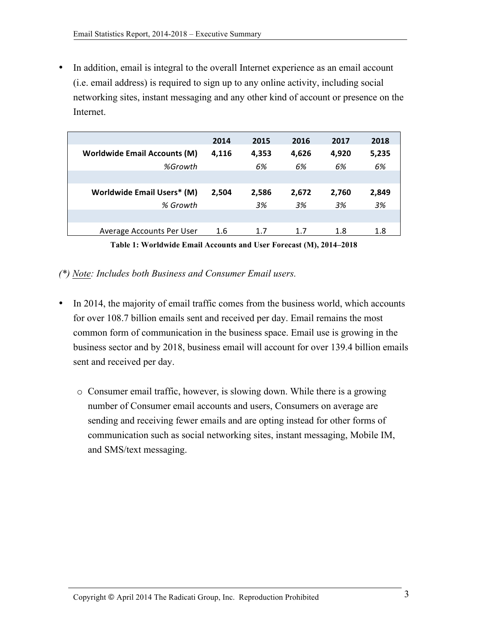In addition, email is integral to the overall Internet experience as an email account (i.e. email address) is required to sign up to any online activity, including social networking sites, instant messaging and any other kind of account or presence on the Internet.

|                                     | 2014    | 2015  | 2016  | 2017  | 2018  |
|-------------------------------------|---------|-------|-------|-------|-------|
| <b>Worldwide Email Accounts (M)</b> | 4,116   | 4,353 | 4,626 | 4,920 | 5,235 |
| %Growth                             |         | 6%    | 6%    | 6%    | 6%    |
|                                     |         |       |       |       |       |
| Worldwide Email Users* (M)          | 2,504   | 2,586 | 2,672 | 2,760 | 2,849 |
| % Growth                            |         | 3%    | 3%    | 3%    | 3%    |
|                                     |         |       |       |       |       |
| Average Accounts Per User           | $1.6\,$ | 1.7   | 1.7   | 1.8   | 1.8   |

**Table 1: Worldwide Email Accounts and User Forecast (M), 2014–2018**

*(\*) Note: Includes both Business and Consumer Email users.*

- In 2014, the majority of email traffic comes from the business world, which accounts for over 108.7 billion emails sent and received per day. Email remains the most common form of communication in the business space. Email use is growing in the business sector and by 2018, business email will account for over 139.4 billion emails sent and received per day.
	- o Consumer email traffic, however, is slowing down. While there is a growing number of Consumer email accounts and users, Consumers on average are sending and receiving fewer emails and are opting instead for other forms of communication such as social networking sites, instant messaging, Mobile IM, and SMS/text messaging.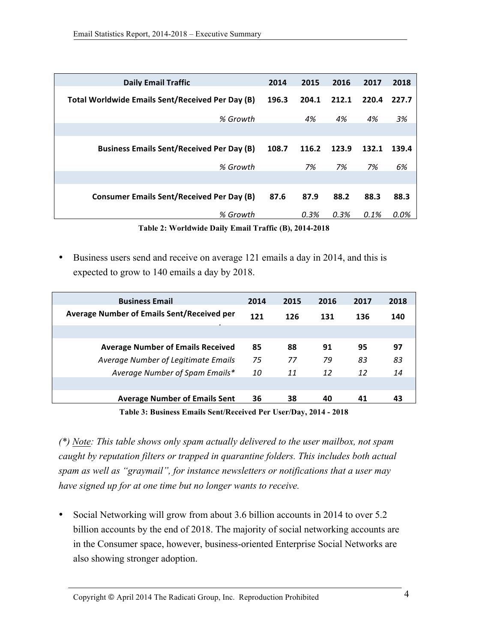| <b>Daily Email Traffic</b>                       |       | 2015  | 2016  | 2017  | 2018  |
|--------------------------------------------------|-------|-------|-------|-------|-------|
| Total Worldwide Emails Sent/Received Per Day (B) | 196.3 | 204.1 | 212.1 | 220.4 | 227.7 |
| % Growth                                         |       | 4%    | 4%    | 4%    | 3%    |
|                                                  |       |       |       |       |       |
| <b>Business Emails Sent/Received Per Day (B)</b> | 108.7 | 116.2 | 123.9 | 132.1 | 139.4 |
| % Growth                                         |       | 7%    | 7%    | 7%    | 6%    |
|                                                  |       |       |       |       |       |
| <b>Consumer Emails Sent/Received Per Day (B)</b> | 87.6  | 87.9  | 88.2  | 88.3  | 88.3  |
| % Growth                                         |       | 0.3%  | 0.3%  | 0.1%  | 0.0%  |

**Table 2: Worldwide Daily Email Traffic (B), 2014-2018**

• Business users send and receive on average 121 emails a day in 2014, and this is expected to grow to 140 emails a day by 2018.

| <b>Business Email</b>                             | 2014 | 2015 | 2016 | 2017 | 2018 |
|---------------------------------------------------|------|------|------|------|------|
| <b>Average Number of Emails Sent/Received per</b> | 121  | 126  | 131  | 136  | 140  |
|                                                   |      |      |      |      |      |
| <b>Average Number of Emails Received</b>          | 85   | 88   | 91   | 95   | 97   |
| Average Number of Legitimate Emails               | 75   | 77   | 79   | 83   | 83   |
| Average Number of Spam Emails*                    | 10   | 11   | 12   | 12   | 14   |
|                                                   |      |      |      |      |      |
| <b>Average Number of Emails Sent</b>              | 36   | 38   | 40   | 41   | 43   |

**Table 3: Business Emails Sent/Received Per User/Day, 2014 - 2018**

*(\*) Note: This table shows only spam actually delivered to the user mailbox, not spam caught by reputation filters or trapped in quarantine folders. This includes both actual spam as well as "graymail", for instance newsletters or notifications that a user may have signed up for at one time but no longer wants to receive.*

• Social Networking will grow from about 3.6 billion accounts in 2014 to over 5.2 billion accounts by the end of 2018. The majority of social networking accounts are in the Consumer space, however, business-oriented Enterprise Social Networks are also showing stronger adoption.